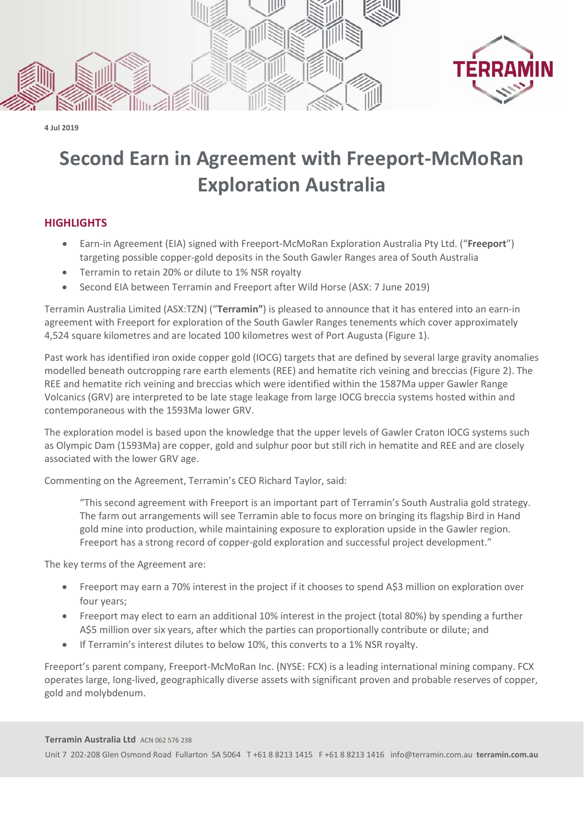

**4 Jul 2019**

## **Second Earn in Agreement with Freeport-McMoRan Exploration Australia**

## **HIGHLIGHTS**

- Earn-in Agreement (EIA) signed with Freeport-McMoRan Exploration Australia Pty Ltd. ("**Freeport**") targeting possible copper-gold deposits in the South Gawler Ranges area of South Australia
- Terramin to retain 20% or dilute to 1% NSR royalty
- Second EIA between Terramin and Freeport after Wild Horse (ASX: 7 June 2019)

Terramin Australia Limited (ASX:TZN) ("**Terramin"**) is pleased to announce that it has entered into an earn-in agreement with Freeport for exploration of the South Gawler Ranges tenements which cover approximately 4,524 square kilometres and are located 100 kilometres west of Port Augusta (Figure 1).

Past work has identified iron oxide copper gold (IOCG) targets that are defined by several large gravity anomalies modelled beneath outcropping rare earth elements (REE) and hematite rich veining and breccias (Figure 2). The REE and hematite rich veining and breccias which were identified within the 1587Ma upper Gawler Range Volcanics (GRV) are interpreted to be late stage leakage from large IOCG breccia systems hosted within and contemporaneous with the 1593Ma lower GRV.

The exploration model is based upon the knowledge that the upper levels of Gawler Craton IOCG systems such as Olympic Dam (1593Ma) are copper, gold and sulphur poor but still rich in hematite and REE and are closely associated with the lower GRV age.

Commenting on the Agreement, Terramin's CEO Richard Taylor, said:

"This second agreement with Freeport is an important part of Terramin's South Australia gold strategy. The farm out arrangements will see Terramin able to focus more on bringing its flagship Bird in Hand gold mine into production, while maintaining exposure to exploration upside in the Gawler region. Freeport has a strong record of copper-gold exploration and successful project development."

The key terms of the Agreement are:

- Freeport may earn a 70% interest in the project if it chooses to spend A\$3 million on exploration over four years;
- Freeport may elect to earn an additional 10% interest in the project (total 80%) by spending a further A\$5 million over six years, after which the parties can proportionally contribute or dilute; and
- If Terramin's interest dilutes to below 10%, this converts to a 1% NSR royalty.

Freeport's parent company, Freeport-McMoRan Inc. (NYSE: FCX) is a leading international mining company. FCX operates large, long-lived, geographically diverse assets with significant proven and probable reserves of copper, gold and molybdenum.

**Terramin Australia Ltd** ACN 062 576 238

Unit 7 202-208 Glen Osmond Road Fullarton SA 5064 T +61 8 8213 1415 F +61 8 8213 1416 [info@terramin.com.au](mailto:info@terramin.com.au) **terramin.com.au**